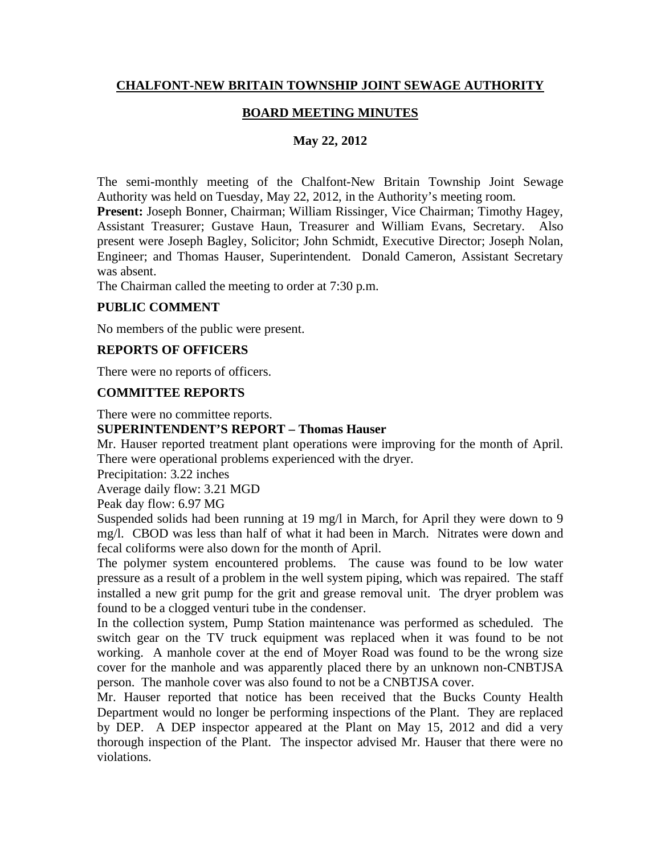## **CHALFONT-NEW BRITAIN TOWNSHIP JOINT SEWAGE AUTHORITY**

## **BOARD MEETING MINUTES**

## **May 22, 2012**

The semi-monthly meeting of the Chalfont-New Britain Township Joint Sewage Authority was held on Tuesday, May 22, 2012, in the Authority's meeting room.

**Present:** Joseph Bonner, Chairman; William Rissinger, Vice Chairman; Timothy Hagey, Assistant Treasurer; Gustave Haun, Treasurer and William Evans, Secretary. Also present were Joseph Bagley, Solicitor; John Schmidt, Executive Director; Joseph Nolan, Engineer; and Thomas Hauser, Superintendent. Donald Cameron, Assistant Secretary was absent.

The Chairman called the meeting to order at 7:30 p.m.

#### **PUBLIC COMMENT**

No members of the public were present.

#### **REPORTS OF OFFICERS**

There were no reports of officers.

#### **COMMITTEE REPORTS**

There were no committee reports.

#### **SUPERINTENDENT'S REPORT – Thomas Hauser**

Mr. Hauser reported treatment plant operations were improving for the month of April. There were operational problems experienced with the dryer.

Precipitation: 3.22 inches

Average daily flow: 3.21 MGD

Peak day flow: 6.97 MG

Suspended solids had been running at 19 mg/l in March, for April they were down to 9 mg/l. CBOD was less than half of what it had been in March. Nitrates were down and fecal coliforms were also down for the month of April.

The polymer system encountered problems. The cause was found to be low water pressure as a result of a problem in the well system piping, which was repaired. The staff installed a new grit pump for the grit and grease removal unit. The dryer problem was found to be a clogged venturi tube in the condenser.

In the collection system, Pump Station maintenance was performed as scheduled. The switch gear on the TV truck equipment was replaced when it was found to be not working. A manhole cover at the end of Moyer Road was found to be the wrong size cover for the manhole and was apparently placed there by an unknown non-CNBTJSA person. The manhole cover was also found to not be a CNBTJSA cover.

Mr. Hauser reported that notice has been received that the Bucks County Health Department would no longer be performing inspections of the Plant. They are replaced by DEP. A DEP inspector appeared at the Plant on May 15, 2012 and did a very thorough inspection of the Plant. The inspector advised Mr. Hauser that there were no violations.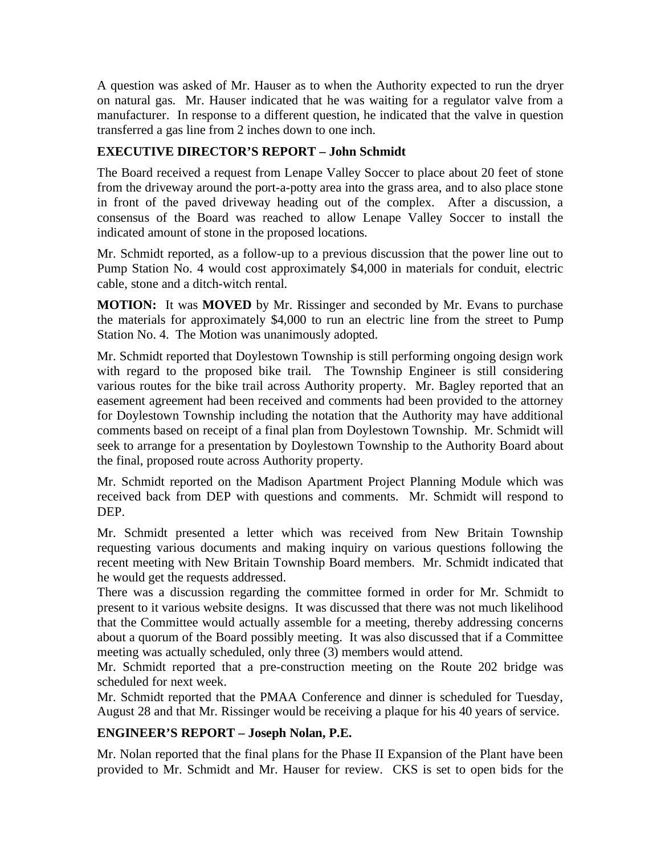A question was asked of Mr. Hauser as to when the Authority expected to run the dryer on natural gas. Mr. Hauser indicated that he was waiting for a regulator valve from a manufacturer. In response to a different question, he indicated that the valve in question transferred a gas line from 2 inches down to one inch.

## **EXECUTIVE DIRECTOR'S REPORT – John Schmidt**

The Board received a request from Lenape Valley Soccer to place about 20 feet of stone from the driveway around the port-a-potty area into the grass area, and to also place stone in front of the paved driveway heading out of the complex. After a discussion, a consensus of the Board was reached to allow Lenape Valley Soccer to install the indicated amount of stone in the proposed locations.

Mr. Schmidt reported, as a follow-up to a previous discussion that the power line out to Pump Station No. 4 would cost approximately \$4,000 in materials for conduit, electric cable, stone and a ditch-witch rental.

**MOTION:** It was **MOVED** by Mr. Rissinger and seconded by Mr. Evans to purchase the materials for approximately \$4,000 to run an electric line from the street to Pump Station No. 4. The Motion was unanimously adopted.

Mr. Schmidt reported that Doylestown Township is still performing ongoing design work with regard to the proposed bike trail. The Township Engineer is still considering various routes for the bike trail across Authority property. Mr. Bagley reported that an easement agreement had been received and comments had been provided to the attorney for Doylestown Township including the notation that the Authority may have additional comments based on receipt of a final plan from Doylestown Township. Mr. Schmidt will seek to arrange for a presentation by Doylestown Township to the Authority Board about the final, proposed route across Authority property.

Mr. Schmidt reported on the Madison Apartment Project Planning Module which was received back from DEP with questions and comments. Mr. Schmidt will respond to DEP.

Mr. Schmidt presented a letter which was received from New Britain Township requesting various documents and making inquiry on various questions following the recent meeting with New Britain Township Board members. Mr. Schmidt indicated that he would get the requests addressed.

There was a discussion regarding the committee formed in order for Mr. Schmidt to present to it various website designs. It was discussed that there was not much likelihood that the Committee would actually assemble for a meeting, thereby addressing concerns about a quorum of the Board possibly meeting. It was also discussed that if a Committee meeting was actually scheduled, only three (3) members would attend.

Mr. Schmidt reported that a pre-construction meeting on the Route 202 bridge was scheduled for next week.

Mr. Schmidt reported that the PMAA Conference and dinner is scheduled for Tuesday, August 28 and that Mr. Rissinger would be receiving a plaque for his 40 years of service.

# **ENGINEER'S REPORT – Joseph Nolan, P.E.**

Mr. Nolan reported that the final plans for the Phase II Expansion of the Plant have been provided to Mr. Schmidt and Mr. Hauser for review. CKS is set to open bids for the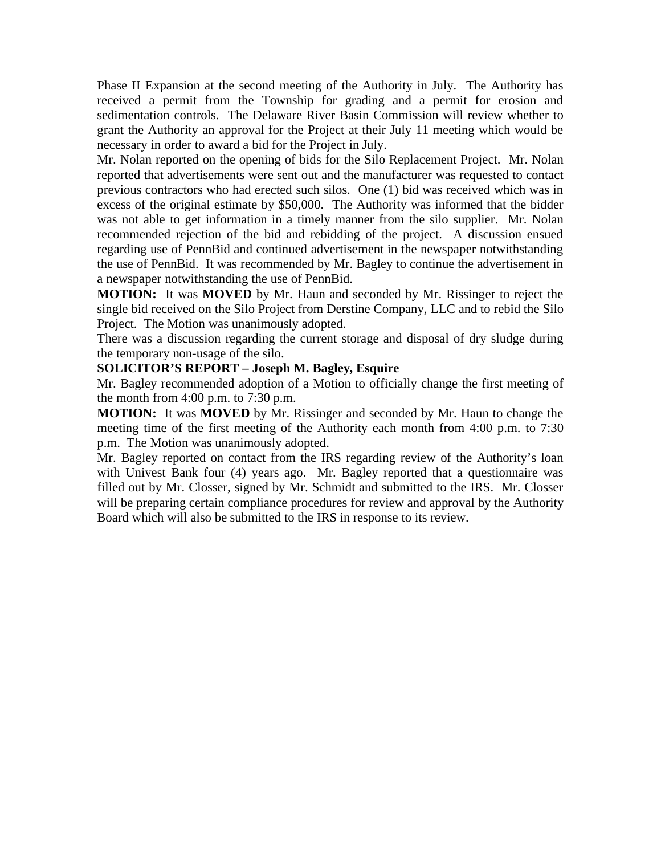Phase II Expansion at the second meeting of the Authority in July. The Authority has received a permit from the Township for grading and a permit for erosion and sedimentation controls. The Delaware River Basin Commission will review whether to grant the Authority an approval for the Project at their July 11 meeting which would be necessary in order to award a bid for the Project in July.

Mr. Nolan reported on the opening of bids for the Silo Replacement Project. Mr. Nolan reported that advertisements were sent out and the manufacturer was requested to contact previous contractors who had erected such silos. One (1) bid was received which was in excess of the original estimate by \$50,000. The Authority was informed that the bidder was not able to get information in a timely manner from the silo supplier. Mr. Nolan recommended rejection of the bid and rebidding of the project. A discussion ensued regarding use of PennBid and continued advertisement in the newspaper notwithstanding the use of PennBid. It was recommended by Mr. Bagley to continue the advertisement in a newspaper notwithstanding the use of PennBid.

**MOTION:** It was **MOVED** by Mr. Haun and seconded by Mr. Rissinger to reject the single bid received on the Silo Project from Derstine Company, LLC and to rebid the Silo Project. The Motion was unanimously adopted.

There was a discussion regarding the current storage and disposal of dry sludge during the temporary non-usage of the silo.

#### **SOLICITOR'S REPORT – Joseph M. Bagley, Esquire**

Mr. Bagley recommended adoption of a Motion to officially change the first meeting of the month from 4:00 p.m. to 7:30 p.m.

**MOTION:** It was **MOVED** by Mr. Rissinger and seconded by Mr. Haun to change the meeting time of the first meeting of the Authority each month from 4:00 p.m. to 7:30 p.m. The Motion was unanimously adopted.

Mr. Bagley reported on contact from the IRS regarding review of the Authority's loan with Univest Bank four (4) years ago. Mr. Bagley reported that a questionnaire was filled out by Mr. Closser, signed by Mr. Schmidt and submitted to the IRS. Mr. Closser will be preparing certain compliance procedures for review and approval by the Authority Board which will also be submitted to the IRS in response to its review.